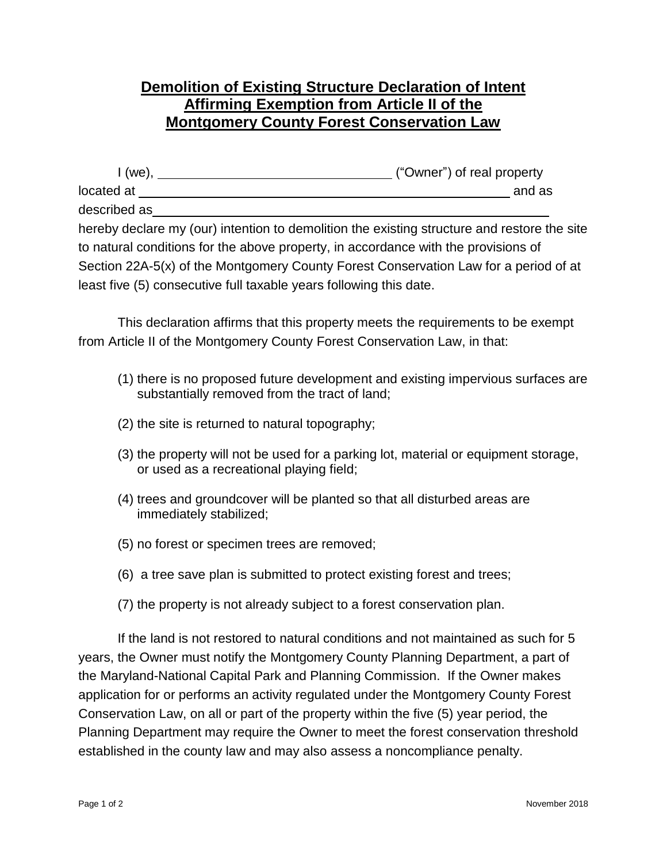## **Demolition of Existing Structure Declaration of Intent Affirming Exemption from Article II of the Montgomery County Forest Conservation Law**

| $I(we)$ ,    | ("Owner") of real property                                                                  |
|--------------|---------------------------------------------------------------------------------------------|
| located at   | and as                                                                                      |
| described as |                                                                                             |
|              | hereby declare my (our) intention to demolition the existing structure and restore the site |
|              | to natural conditions for the above property, in accordance with the provisions of          |

to natural conditions for the above property, in accordance with the provisions of Section 22A-5(x) of the Montgomery County Forest Conservation Law for a period of at least five (5) consecutive full taxable years following this date.

This declaration affirms that this property meets the requirements to be exempt from Article II of the Montgomery County Forest Conservation Law, in that:

- (1) there is no proposed future development and existing impervious surfaces are substantially removed from the tract of land;
- (2) the site is returned to natural topography;
- (3) the property will not be used for a parking lot, material or equipment storage, or used as a recreational playing field;
- (4) trees and groundcover will be planted so that all disturbed areas are immediately stabilized;
- (5) no forest or specimen trees are removed;
- (6) a tree save plan is submitted to protect existing forest and trees;
- (7) the property is not already subject to a forest conservation plan.

If the land is not restored to natural conditions and not maintained as such for 5 years, the Owner must notify the Montgomery County Planning Department, a part of the Maryland-National Capital Park and Planning Commission. If the Owner makes application for or performs an activity regulated under the Montgomery County Forest Conservation Law, on all or part of the property within the five (5) year period, the Planning Department may require the Owner to meet the forest conservation threshold established in the county law and may also assess a noncompliance penalty.